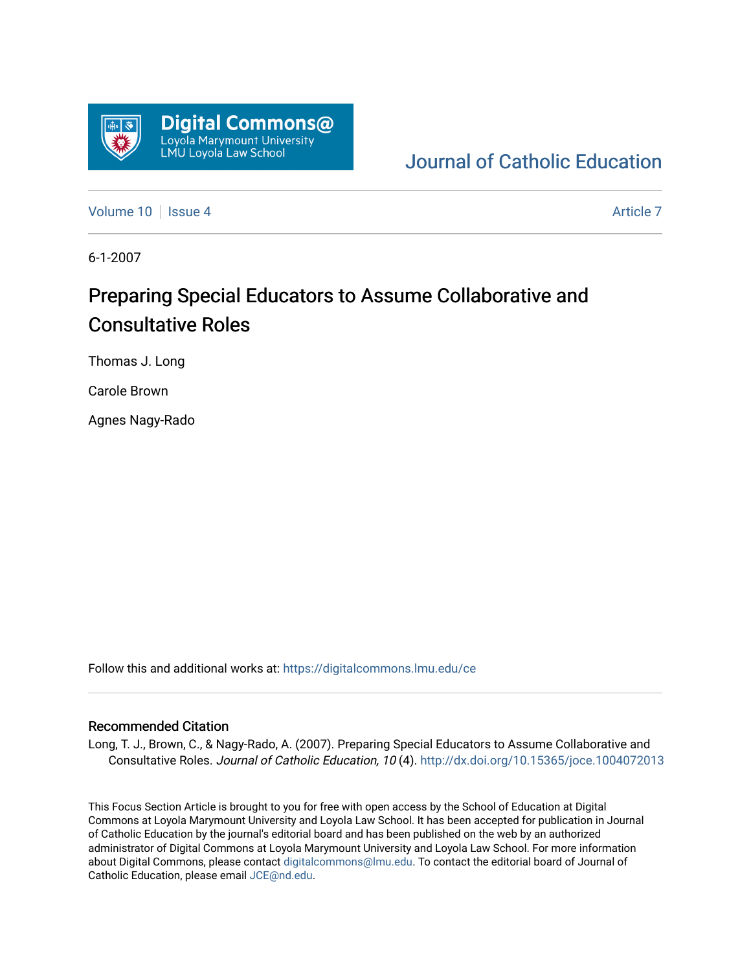

# [Journal of Catholic Education](https://digitalcommons.lmu.edu/ce)

[Volume 10](https://digitalcommons.lmu.edu/ce/vol10) | [Issue 4](https://digitalcommons.lmu.edu/ce/vol10/iss4) Article 7

6-1-2007

# Preparing Special Educators to Assume Collaborative and Consultative Roles

Thomas J. Long

Carole Brown

Agnes Nagy-Rado

Follow this and additional works at: [https://digitalcommons.lmu.edu/ce](https://digitalcommons.lmu.edu/ce?utm_source=digitalcommons.lmu.edu%2Fce%2Fvol10%2Fiss4%2F7&utm_medium=PDF&utm_campaign=PDFCoverPages)

#### Recommended Citation

Long, T. J., Brown, C., & Nagy-Rado, A. (2007). Preparing Special Educators to Assume Collaborative and Consultative Roles. Journal of Catholic Education, 10 (4). <http://dx.doi.org/10.15365/joce.1004072013>

This Focus Section Article is brought to you for free with open access by the School of Education at Digital Commons at Loyola Marymount University and Loyola Law School. It has been accepted for publication in Journal of Catholic Education by the journal's editorial board and has been published on the web by an authorized administrator of Digital Commons at Loyola Marymount University and Loyola Law School. For more information about Digital Commons, please contact [digitalcommons@lmu.edu](mailto:digitalcommons@lmu.edu). To contact the editorial board of Journal of Catholic Education, please email [JCE@nd.edu.](mailto:JCE@nd.edu)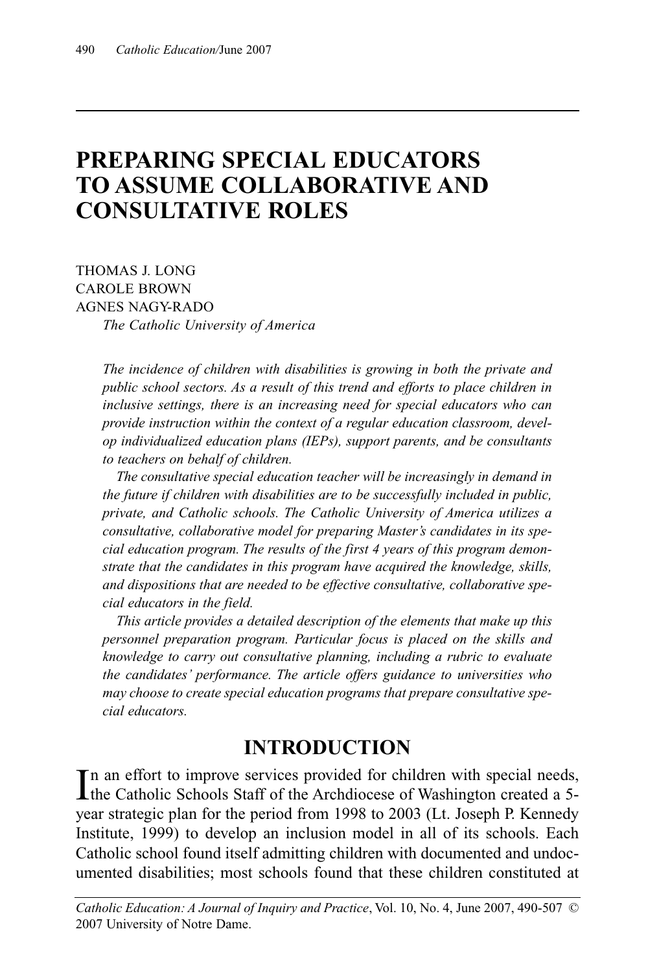# **PREPARING SPECIAL EDUCATORS TO ASSUME COLLABORATIVE AND CONSULTATIVE ROLES**

THOMAS J. LONG CAROLE BROWN AGNES NAGY-RADO *The Catholic University of America*

> *The incidence of children with disabilities is growing in both the private and public school sectors. As a result of this trend and efforts to place children in inclusive settings, there is an increasing need for special educators who can provide instruction within the context of a regular education classroom, develop individualized education plans (IEPs), support parents, and be consultants to teachers on behalf of children.*

> *The consultative special education teacher will be increasingly in demand in the future if children with disabilities are to be successfully included in public, private, and Catholic schools. The Catholic University of America utilizes a consultative, collaborative model for preparing Master's candidates in its special education program. The results of the first 4 years of this program demonstrate that the candidates in this program have acquired the knowledge, skills, and dispositions that are needed to be effective consultative, collaborative special educators in the field.*

> *This article provides a detailed description of the elements that make up this personnel preparation program. Particular focus is placed on the skills and knowledge to carry out consultative planning, including a rubric to evaluate the candidates' performance. The article offers guidance to universities who may choose to create special education programs that prepare consultative special educators.*

### **INTRODUCTION**

In an effort to improve services provided for children with special needs, the Catholic Schools Staff of the Archdiocese of Washington created a 5n an effort to improve services provided for children with special needs, year strategic plan for the period from 1998 to 2003 (Lt. Joseph P. Kennedy Institute, 1999) to develop an inclusion model in all of its schools. Each Catholic school found itself admitting children with documented and undocumented disabilities; most schools found that these children constituted at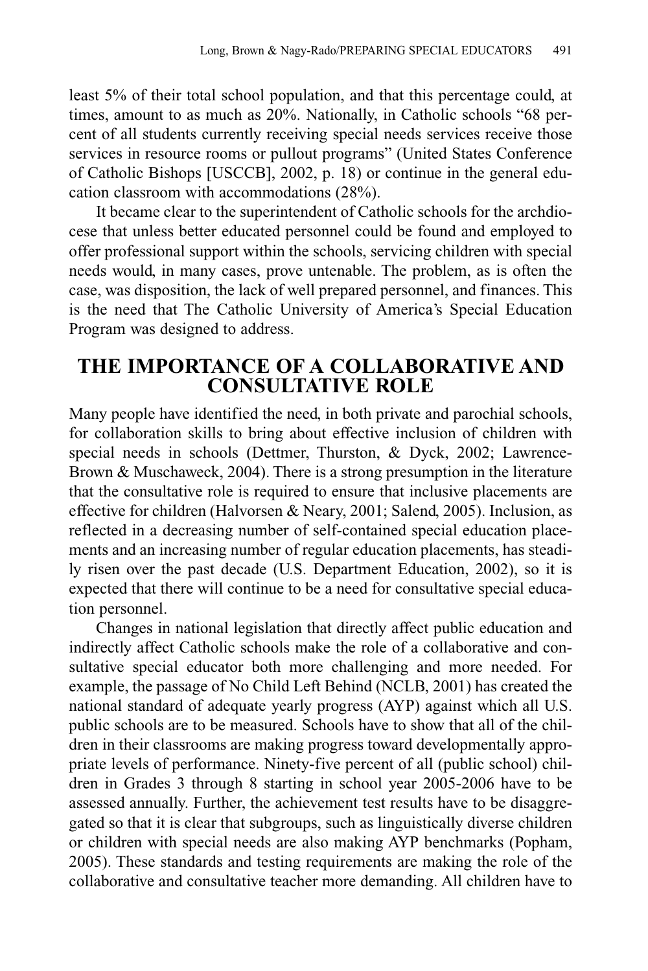least 5% of their total school population, and that this percentage could, at times, amount to as much as 20%. Nationally, in Catholic schools "68 percent of all students currently receiving special needs services receive those services in resource rooms or pullout programs" (United States Conference of Catholic Bishops [USCCB], 2002, p. 18) or continue in the general education classroom with accommodations (28%).

It became clear to the superintendent of Catholic schools for the archdiocese that unless better educated personnel could be found and employed to offer professional support within the schools, servicing children with special needs would, in many cases, prove untenable. The problem, as is often the case, was disposition, the lack of well prepared personnel, and finances. This is the need that The Catholic University of America's Special Education Program was designed to address.

### **THE IMPORTANCE OF A COLLABORATIVE AND CONSULTATIVE ROLE**

Many people have identified the need, in both private and parochial schools, for collaboration skills to bring about effective inclusion of children with special needs in schools (Dettmer, Thurston, & Dyck, 2002; Lawrence-Brown & Muschaweck, 2004). There is a strong presumption in the literature that the consultative role is required to ensure that inclusive placements are effective for children (Halvorsen & Neary, 2001; Salend, 2005). Inclusion, as reflected in a decreasing number of self-contained special education placements and an increasing number of regular education placements, has steadily risen over the past decade (U.S. Department Education, 2002), so it is expected that there will continue to be a need for consultative special education personnel.

Changes in national legislation that directly affect public education and indirectly affect Catholic schools make the role of a collaborative and consultative special educator both more challenging and more needed. For example, the passage of No Child Left Behind (NCLB, 2001) has created the national standard of adequate yearly progress (AYP) against which all U.S. public schools are to be measured. Schools have to show that all of the children in their classrooms are making progress toward developmentally appropriate levels of performance. Ninety-five percent of all (public school) children in Grades 3 through 8 starting in school year 2005-2006 have to be assessed annually. Further, the achievement test results have to be disaggregated so that it is clear that subgroups, such as linguistically diverse children or children with special needs are also making AYP benchmarks (Popham, 2005). These standards and testing requirements are making the role of the collaborative and consultative teacher more demanding. All children have to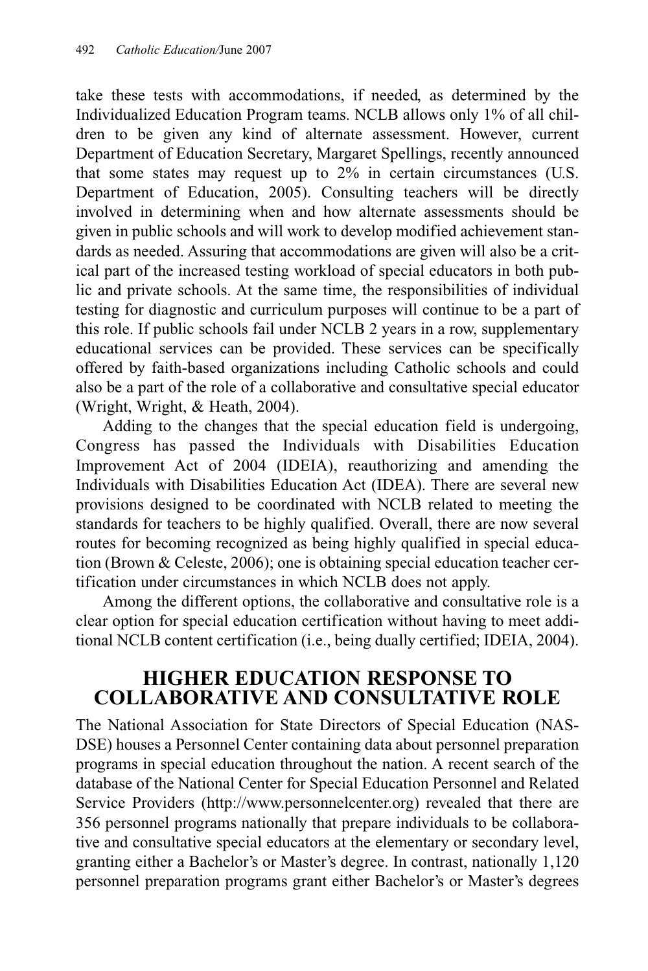take these tests with accommodations, if needed, as determined by the Individualized Education Program teams. NCLB allows only 1% of all children to be given any kind of alternate assessment. However, current Department of Education Secretary, Margaret Spellings, recently announced that some states may request up to 2% in certain circumstances (U.S. Department of Education, 2005). Consulting teachers will be directly involved in determining when and how alternate assessments should be given in public schools and will work to develop modified achievement standards as needed. Assuring that accommodations are given will also be a critical part of the increased testing workload of special educators in both public and private schools. At the same time, the responsibilities of individual testing for diagnostic and curriculum purposes will continue to be a part of this role. If public schools fail under NCLB 2 years in a row, supplementary educational services can be provided. These services can be specifically offered by faith-based organizations including Catholic schools and could also be a part of the role of a collaborative and consultative special educator (Wright, Wright, & Heath, 2004).

Adding to the changes that the special education field is undergoing, Congress has passed the Individuals with Disabilities Education Improvement Act of 2004 (IDEIA), reauthorizing and amending the Individuals with Disabilities Education Act (IDEA). There are several new provisions designed to be coordinated with NCLB related to meeting the standards for teachers to be highly qualified. Overall, there are now several routes for becoming recognized as being highly qualified in special education (Brown & Celeste, 2006); one is obtaining special education teacher certification under circumstances in which NCLB does not apply.

Among the different options, the collaborative and consultative role is a clear option for special education certification without having to meet additional NCLB content certification (i.e., being dually certified; IDEIA, 2004).

### **HIGHER EDUCATION RESPONSE TO COLLABORATIVE AND CONSULTATIVE ROLE**

The National Association for State Directors of Special Education (NAS-DSE) houses a Personnel Center containing data about personnel preparation programs in special education throughout the nation. A recent search of the database of the National Center for Special Education Personnel and Related Service Providers (http://www.personnelcenter.org) revealed that there are 356 personnel programs nationally that prepare individuals to be collaborative and consultative special educators at the elementary or secondary level, granting either a Bachelor's or Master's degree. In contrast, nationally 1,120 personnel preparation programs grant either Bachelor's or Master's degrees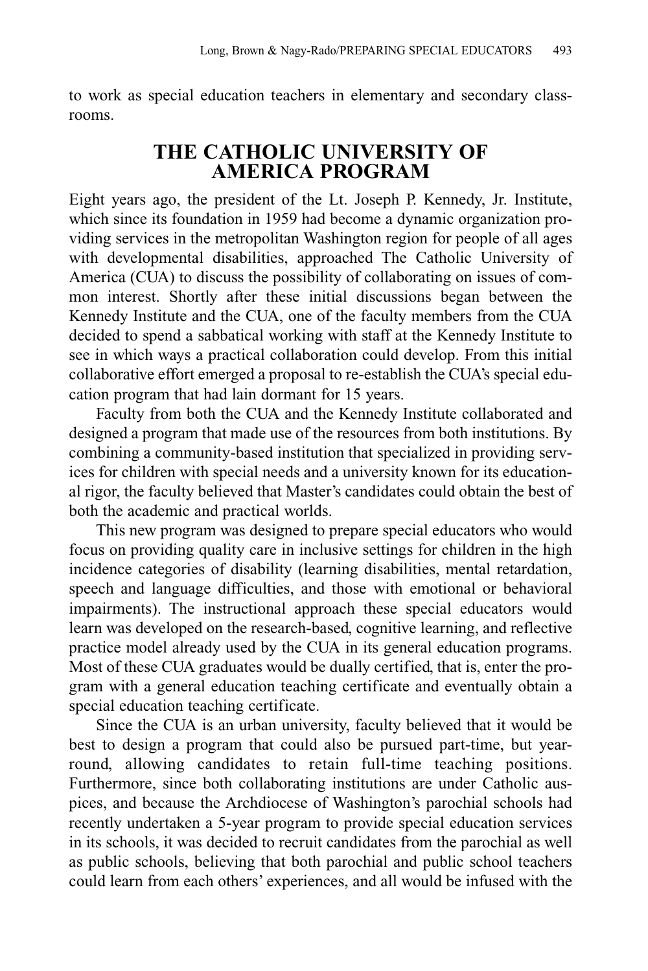to work as special education teachers in elementary and secondary classrooms.

### **THE CATHOLIC UNIVERSITY OF AMERICA PROGRAM**

Eight years ago, the president of the Lt. Joseph P. Kennedy, Jr. Institute, which since its foundation in 1959 had become a dynamic organization providing services in the metropolitan Washington region for people of all ages with developmental disabilities, approached The Catholic University of America (CUA) to discuss the possibility of collaborating on issues of common interest. Shortly after these initial discussions began between the Kennedy Institute and the CUA, one of the faculty members from the CUA decided to spend a sabbatical working with staff at the Kennedy Institute to see in which ways a practical collaboration could develop. From this initial collaborative effort emerged a proposal to re-establish the CUA's special education program that had lain dormant for 15 years.

Faculty from both the CUA and the Kennedy Institute collaborated and designed a program that made use of the resources from both institutions. By combining a community-based institution that specialized in providing services for children with special needs and a university known for its educational rigor, the faculty believed that Master's candidates could obtain the best of both the academic and practical worlds.

This new program was designed to prepare special educators who would focus on providing quality care in inclusive settings for children in the high incidence categories of disability (learning disabilities, mental retardation, speech and language difficulties, and those with emotional or behavioral impairments). The instructional approach these special educators would learn was developed on the research-based, cognitive learning, and reflective practice model already used by the CUA in its general education programs. Most of these CUA graduates would be dually certified, that is, enter the program with a general education teaching certificate and eventually obtain a special education teaching certificate.

Since the CUA is an urban university, faculty believed that it would be best to design a program that could also be pursued part-time, but yearround, allowing candidates to retain full-time teaching positions. Furthermore, since both collaborating institutions are under Catholic auspices, and because the Archdiocese of Washington's parochial schools had recently undertaken a 5-year program to provide special education services in its schools, it was decided to recruit candidates from the parochial as well as public schools, believing that both parochial and public school teachers could learn from each others' experiences, and all would be infused with the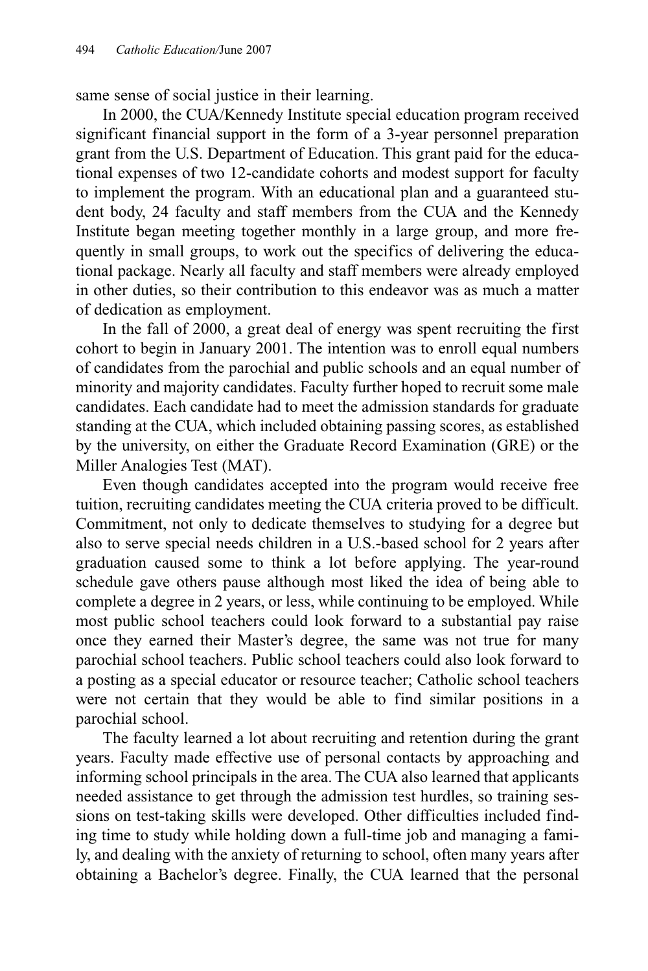same sense of social justice in their learning.

In 2000, the CUA/Kennedy Institute special education program received significant financial support in the form of a 3-year personnel preparation grant from the U.S. Department of Education. This grant paid for the educational expenses of two 12-candidate cohorts and modest support for faculty to implement the program. With an educational plan and a guaranteed student body, 24 faculty and staff members from the CUA and the Kennedy Institute began meeting together monthly in a large group, and more frequently in small groups, to work out the specifics of delivering the educational package. Nearly all faculty and staff members were already employed in other duties, so their contribution to this endeavor was as much a matter of dedication as employment.

In the fall of 2000, a great deal of energy was spent recruiting the first cohort to begin in January 2001. The intention was to enroll equal numbers of candidates from the parochial and public schools and an equal number of minority and majority candidates. Faculty further hoped to recruit some male candidates. Each candidate had to meet the admission standards for graduate standing at the CUA, which included obtaining passing scores, as established by the university, on either the Graduate Record Examination (GRE) or the Miller Analogies Test (MAT).

Even though candidates accepted into the program would receive free tuition, recruiting candidates meeting the CUA criteria proved to be difficult. Commitment, not only to dedicate themselves to studying for a degree but also to serve special needs children in a U.S.-based school for 2 years after graduation caused some to think a lot before applying. The year-round schedule gave others pause although most liked the idea of being able to complete a degree in 2 years, or less, while continuing to be employed. While most public school teachers could look forward to a substantial pay raise once they earned their Master's degree, the same was not true for many parochial school teachers. Public school teachers could also look forward to a posting as a special educator or resource teacher; Catholic school teachers were not certain that they would be able to find similar positions in a parochial school.

The faculty learned a lot about recruiting and retention during the grant years. Faculty made effective use of personal contacts by approaching and informing school principals in the area. The CUA also learned that applicants needed assistance to get through the admission test hurdles, so training sessions on test-taking skills were developed. Other difficulties included finding time to study while holding down a full-time job and managing a family, and dealing with the anxiety of returning to school, often many years after obtaining a Bachelor's degree. Finally, the CUA learned that the personal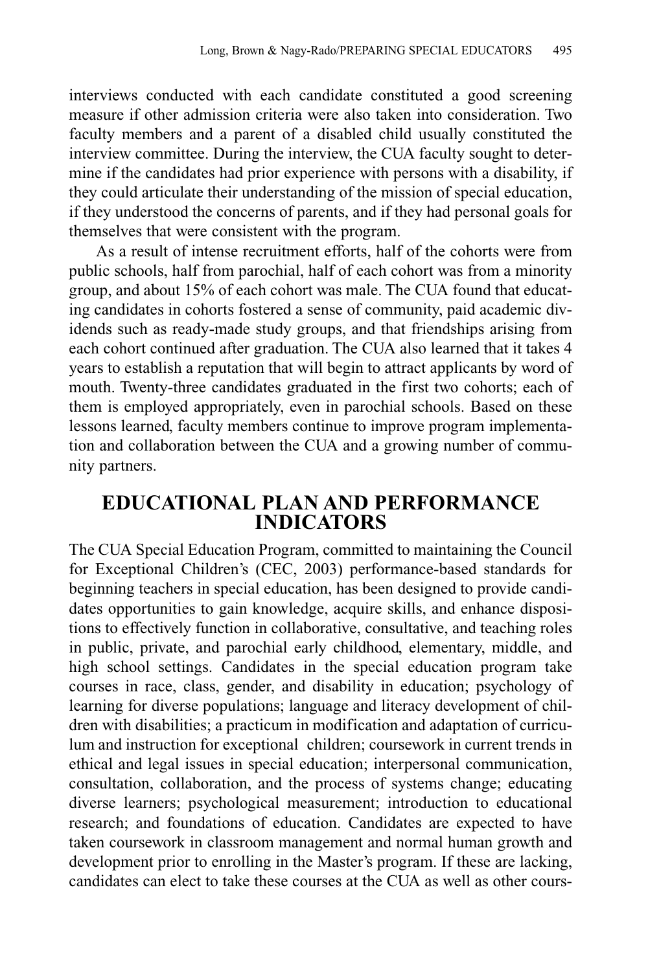interviews conducted with each candidate constituted a good screening measure if other admission criteria were also taken into consideration. Two faculty members and a parent of a disabled child usually constituted the interview committee. During the interview, the CUA faculty sought to determine if the candidates had prior experience with persons with a disability, if they could articulate their understanding of the mission of special education, if they understood the concerns of parents, and if they had personal goals for themselves that were consistent with the program.

As a result of intense recruitment efforts, half of the cohorts were from public schools, half from parochial, half of each cohort was from a minority group, and about 15% of each cohort was male. The CUA found that educating candidates in cohorts fostered a sense of community, paid academic dividends such as ready-made study groups, and that friendships arising from each cohort continued after graduation. The CUA also learned that it takes 4 years to establish a reputation that will begin to attract applicants by word of mouth. Twenty-three candidates graduated in the first two cohorts; each of them is employed appropriately, even in parochial schools. Based on these lessons learned, faculty members continue to improve program implementation and collaboration between the CUA and a growing number of community partners.

### **EDUCATIONAL PLAN AND PERFORMANCE INDICATORS**

The CUA Special Education Program, committed to maintaining the Council for Exceptional Children's (CEC, 2003) performance-based standards for beginning teachers in special education, has been designed to provide candidates opportunities to gain knowledge, acquire skills, and enhance dispositions to effectively function in collaborative, consultative, and teaching roles in public, private, and parochial early childhood, elementary, middle, and high school settings. Candidates in the special education program take courses in race, class, gender, and disability in education; psychology of learning for diverse populations; language and literacy development of children with disabilities; a practicum in modification and adaptation of curriculum and instruction for exceptional children; coursework in current trends in ethical and legal issues in special education; interpersonal communication, consultation, collaboration, and the process of systems change; educating diverse learners; psychological measurement; introduction to educational research; and foundations of education. Candidates are expected to have taken coursework in classroom management and normal human growth and development prior to enrolling in the Master's program. If these are lacking, candidates can elect to take these courses at the CUA as well as other cours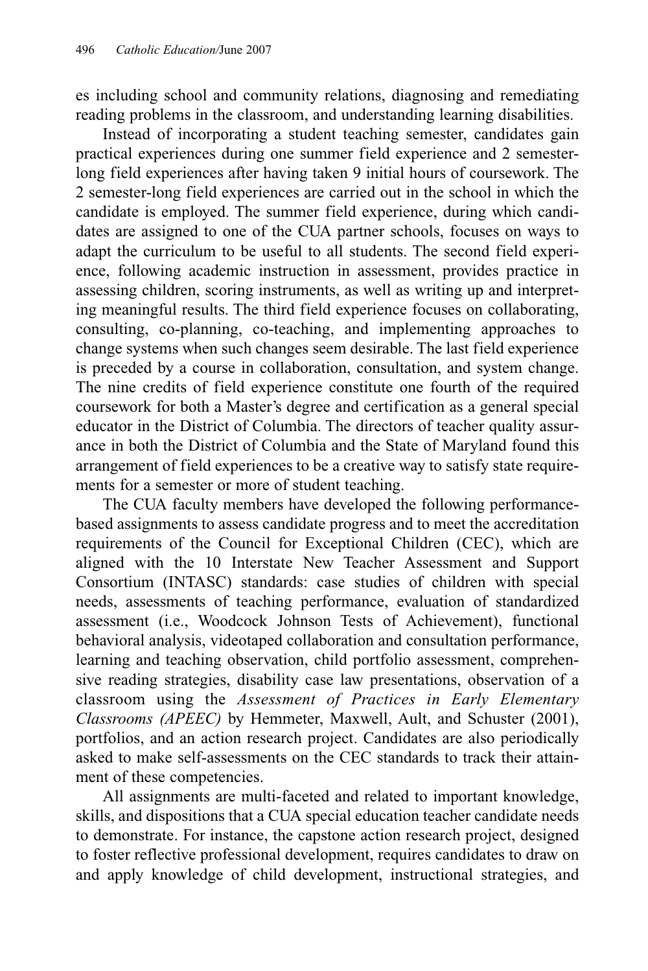es including school and community relations, diagnosing and remediating reading problems in the classroom, and understanding learning disabilities.

Instead of incorporating a student teaching semester, candidates gain practical experiences during one summer field experience and 2 semesterlong field experiences after having taken 9 initial hours of coursework. The 2 semester-long field experiences are carried out in the school in which the candidate is employed. The summer field experience, during which candidates are assigned to one of the CUA partner schools, focuses on ways to adapt the curriculum to be useful to all students. The second field experience, following academic instruction in assessment, provides practice in assessing children, scoring instruments, as well as writing up and interpreting meaningful results. The third field experience focuses on collaborating, consulting, co-planning, co-teaching, and implementing approaches to change systems when such changes seem desirable. The last field experience is preceded by a course in collaboration, consultation, and system change. The nine credits of field experience constitute one fourth of the required coursework for both a Master's degree and certification as a general special educator in the District of Columbia. The directors of teacher quality assurance in both the District of Columbia and the State of Maryland found this arrangement of field experiences to be a creative way to satisfy state requirements for a semester or more of student teaching.

The CUA faculty members have developed the following performancebased assignments to assess candidate progress and to meet the accreditation requirements of the Council for Exceptional Children (CEC), which are aligned with the 10 Interstate New Teacher Assessment and Support Consortium (INTASC) standards: case studies of children with special needs, assessments of teaching performance, evaluation of standardized assessment (i.e., Woodcock Johnson Tests of Achievement), functional behavioral analysis, videotaped collaboration and consultation performance, learning and teaching observation, child portfolio assessment, comprehensive reading strategies, disability case law presentations, observation of a classroom using the *Assessment of Practices in Early Elementary Classrooms (APEEC)* by Hemmeter, Maxwell, Ault, and Schuster (2001), portfolios, and an action research project. Candidates are also periodically asked to make self-assessments on the CEC standards to track their attainment of these competencies.

All assignments are multi-faceted and related to important knowledge, skills, and dispositions that a CUA special education teacher candidate needs to demonstrate. For instance, the capstone action research project, designed to foster reflective professional development, requires candidates to draw on and apply knowledge of child development, instructional strategies, and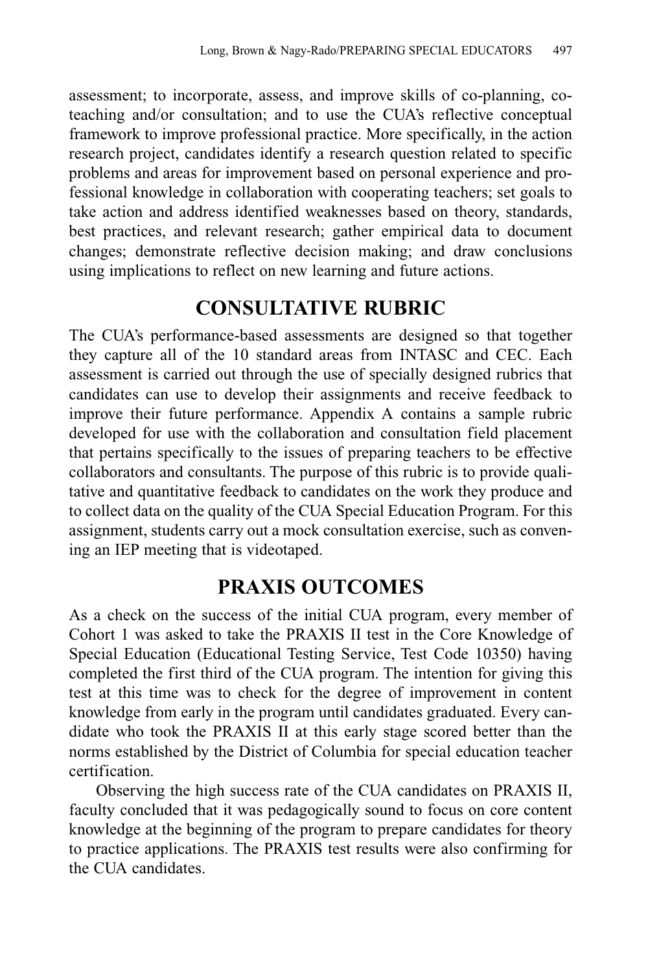assessment; to incorporate, assess, and improve skills of co-planning, coteaching and/or consultation; and to use the CUA's reflective conceptual framework to improve professional practice. More specifically, in the action research project, candidates identify a research question related to specific problems and areas for improvement based on personal experience and professional knowledge in collaboration with cooperating teachers; set goals to take action and address identified weaknesses based on theory, standards, best practices, and relevant research; gather empirical data to document changes; demonstrate reflective decision making; and draw conclusions using implications to reflect on new learning and future actions.

# **CONSULTATIVE RUBRIC**

The CUA's performance-based assessments are designed so that together they capture all of the 10 standard areas from INTASC and CEC. Each assessment is carried out through the use of specially designed rubrics that candidates can use to develop their assignments and receive feedback to improve their future performance. Appendix A contains a sample rubric developed for use with the collaboration and consultation field placement that pertains specifically to the issues of preparing teachers to be effective collaborators and consultants. The purpose of this rubric is to provide qualitative and quantitative feedback to candidates on the work they produce and to collect data on the quality of the CUA Special Education Program. For this assignment, students carry out a mock consultation exercise, such as convening an IEP meeting that is videotaped.

# **PRAXIS OUTCOMES**

As a check on the success of the initial CUA program, every member of Cohort 1 was asked to take the PRAXIS II test in the Core Knowledge of Special Education (Educational Testing Service, Test Code 10350) having completed the first third of the CUA program. The intention for giving this test at this time was to check for the degree of improvement in content knowledge from early in the program until candidates graduated. Every candidate who took the PRAXIS II at this early stage scored better than the norms established by the District of Columbia for special education teacher certification.

Observing the high success rate of the CUA candidates on PRAXIS II, faculty concluded that it was pedagogically sound to focus on core content knowledge at the beginning of the program to prepare candidates for theory to practice applications. The PRAXIS test results were also confirming for the CUA candidates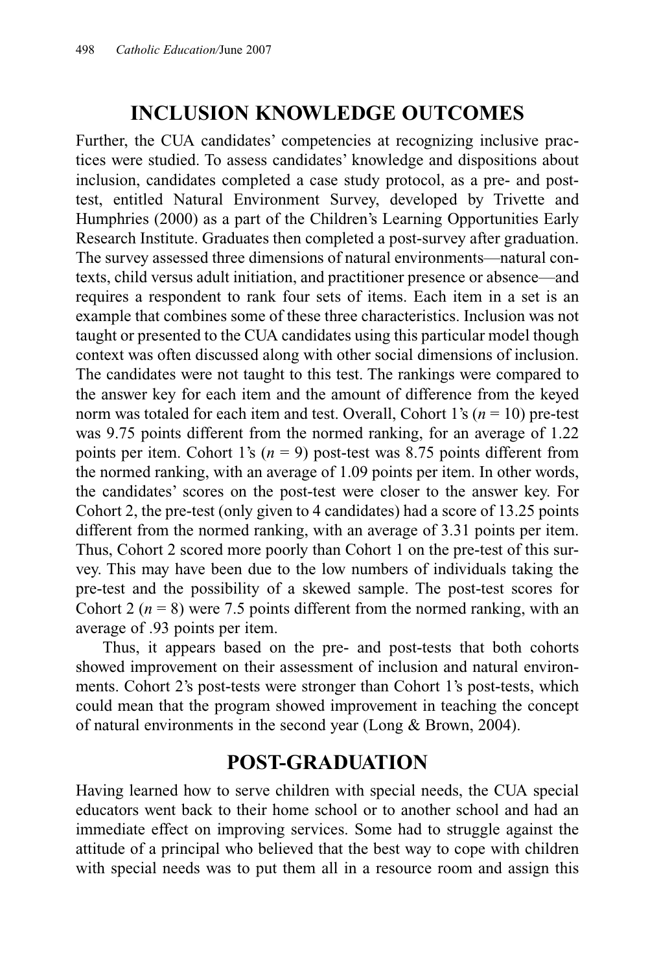# **INCLUSION KNOWLEDGE OUTCOMES**

Further, the CUA candidates' competencies at recognizing inclusive practices were studied. To assess candidates' knowledge and dispositions about inclusion, candidates completed a case study protocol, as a pre- and posttest, entitled Natural Environment Survey, developed by Trivette and Humphries (2000) as a part of the Children's Learning Opportunities Early Research Institute. Graduates then completed a post-survey after graduation. The survey assessed three dimensions of natural environments—natural contexts, child versus adult initiation, and practitioner presence or absence—and requires a respondent to rank four sets of items. Each item in a set is an example that combines some of these three characteristics. Inclusion was not taught or presented to the CUA candidates using this particular model though context was often discussed along with other social dimensions of inclusion. The candidates were not taught to this test. The rankings were compared to the answer key for each item and the amount of difference from the keyed norm was totaled for each item and test. Overall, Cohort 1's (*n* = 10) pre-test was 9.75 points different from the normed ranking, for an average of 1.22 points per item. Cohort 1's  $(n = 9)$  post-test was 8.75 points different from the normed ranking, with an average of 1.09 points per item. In other words, the candidates' scores on the post-test were closer to the answer key. For Cohort 2, the pre-test (only given to 4 candidates) had a score of 13.25 points different from the normed ranking, with an average of 3.31 points per item. Thus, Cohort 2 scored more poorly than Cohort 1 on the pre-test of this survey. This may have been due to the low numbers of individuals taking the pre-test and the possibility of a skewed sample. The post-test scores for Cohort 2 ( $n = 8$ ) were 7.5 points different from the normed ranking, with an average of .93 points per item.

Thus, it appears based on the pre- and post-tests that both cohorts showed improvement on their assessment of inclusion and natural environments. Cohort 2's post-tests were stronger than Cohort 1's post-tests, which could mean that the program showed improvement in teaching the concept of natural environments in the second year (Long & Brown, 2004).

## **POST-GRADUATION**

Having learned how to serve children with special needs, the CUA special educators went back to their home school or to another school and had an immediate effect on improving services. Some had to struggle against the attitude of a principal who believed that the best way to cope with children with special needs was to put them all in a resource room and assign this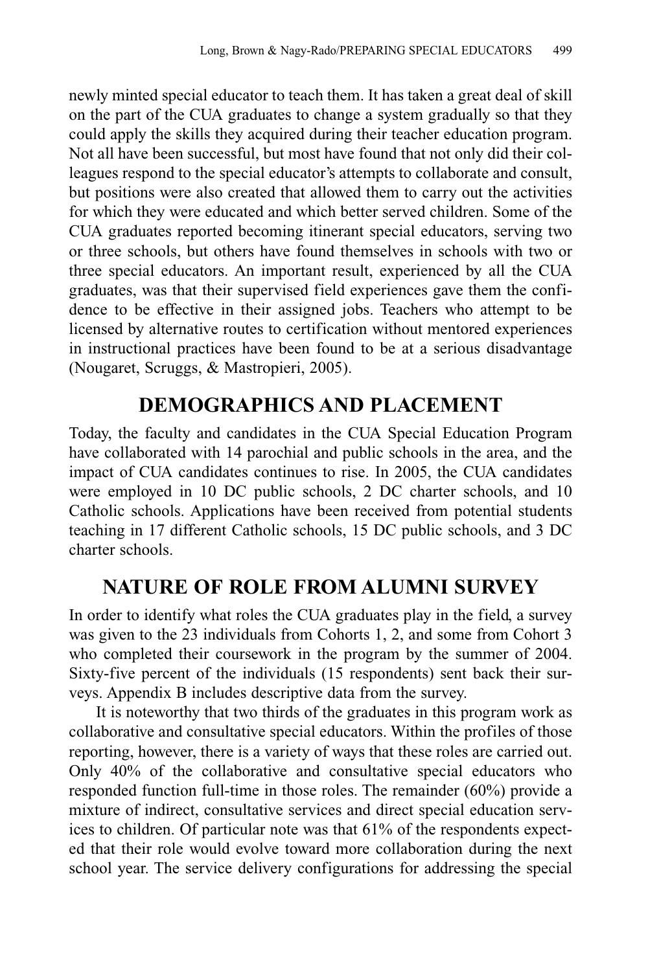newly minted special educator to teach them. It has taken a great deal of skill on the part of the CUA graduates to change a system gradually so that they could apply the skills they acquired during their teacher education program. Not all have been successful, but most have found that not only did their colleagues respond to the special educator's attempts to collaborate and consult, but positions were also created that allowed them to carry out the activities for which they were educated and which better served children. Some of the CUA graduates reported becoming itinerant special educators, serving two or three schools, but others have found themselves in schools with two or three special educators. An important result, experienced by all the CUA graduates, was that their supervised field experiences gave them the confidence to be effective in their assigned jobs. Teachers who attempt to be licensed by alternative routes to certification without mentored experiences in instructional practices have been found to be at a serious disadvantage (Nougaret, Scruggs, & Mastropieri, 2005).

# **DEMOGRAPHICS AND PLACEMENT**

Today, the faculty and candidates in the CUA Special Education Program have collaborated with 14 parochial and public schools in the area, and the impact of CUA candidates continues to rise. In 2005, the CUA candidates were employed in 10 DC public schools, 2 DC charter schools, and 10 Catholic schools. Applications have been received from potential students teaching in 17 different Catholic schools, 15 DC public schools, and 3 DC charter schools.

### **NATURE OF ROLE FROM ALUMNI SURVEY**

In order to identify what roles the CUA graduates play in the field, a survey was given to the 23 individuals from Cohorts 1, 2, and some from Cohort 3 who completed their coursework in the program by the summer of 2004. Sixty-five percent of the individuals (15 respondents) sent back their surveys. Appendix B includes descriptive data from the survey.

It is noteworthy that two thirds of the graduates in this program work as collaborative and consultative special educators. Within the profiles of those reporting, however, there is a variety of ways that these roles are carried out. Only 40% of the collaborative and consultative special educators who responded function full-time in those roles. The remainder (60%) provide a mixture of indirect, consultative services and direct special education services to children. Of particular note was that 61% of the respondents expected that their role would evolve toward more collaboration during the next school year. The service delivery configurations for addressing the special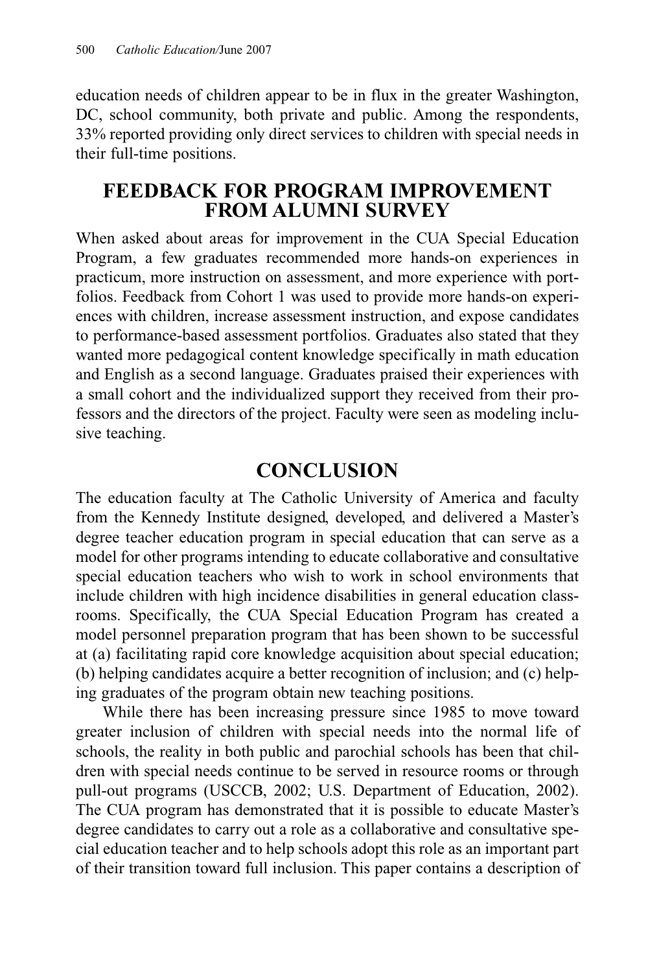education needs of children appear to be in flux in the greater Washington, DC, school community, both private and public. Among the respondents, 33% reported providing only direct services to children with special needs in their full-time positions.

### **FEEDBACK FOR PROGRAM IMPROVEMENT FROM ALUMNI SURVEY**

When asked about areas for improvement in the CUA Special Education Program, a few graduates recommended more hands-on experiences in practicum, more instruction on assessment, and more experience with portfolios. Feedback from Cohort 1 was used to provide more hands-on experiences with children, increase assessment instruction, and expose candidates to performance-based assessment portfolios. Graduates also stated that they wanted more pedagogical content knowledge specifically in math education and English as a second language. Graduates praised their experiences with a small cohort and the individualized support they received from their professors and the directors of the project. Faculty were seen as modeling inclusive teaching.

# **CONCLUSION**

The education faculty at The Catholic University of America and faculty from the Kennedy Institute designed, developed, and delivered a Master's degree teacher education program in special education that can serve as a model for other programs intending to educate collaborative and consultative special education teachers who wish to work in school environments that include children with high incidence disabilities in general education classrooms. Specifically, the CUA Special Education Program has created a model personnel preparation program that has been shown to be successful at (a) facilitating rapid core knowledge acquisition about special education; (b) helping candidates acquire a better recognition of inclusion; and (c) helping graduates of the program obtain new teaching positions.

While there has been increasing pressure since 1985 to move toward greater inclusion of children with special needs into the normal life of schools, the reality in both public and parochial schools has been that children with special needs continue to be served in resource rooms or through pull-out programs (USCCB, 2002; U.S. Department of Education, 2002). The CUA program has demonstrated that it is possible to educate Master's degree candidates to carry out a role as a collaborative and consultative special education teacher and to help schools adopt this role as an important part of their transition toward full inclusion. This paper contains a description of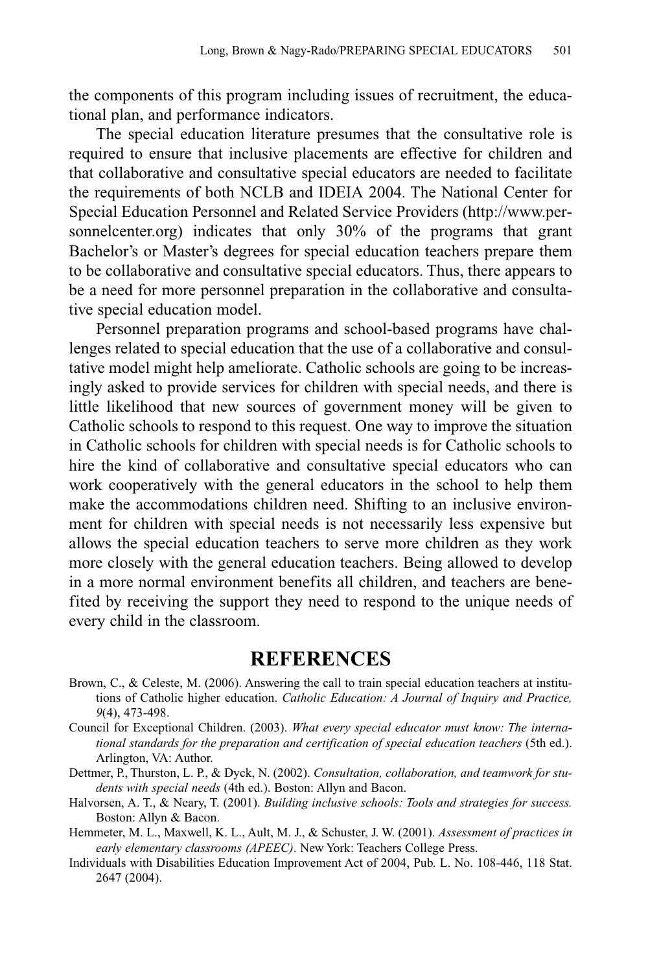the components of this program including issues of recruitment, the educational plan, and performance indicators.

The special education literature presumes that the consultative role is required to ensure that inclusive placements are effective for children and that collaborative and consultative special educators are needed to facilitate the requirements of both NCLB and IDEIA 2004. The National Center for Special Education Personnel and Related Service Providers (http://www.personnelcenter.org) indicates that only 30% of the programs that grant Bachelor's or Master's degrees for special education teachers prepare them to be collaborative and consultative special educators. Thus, there appears to be a need for more personnel preparation in the collaborative and consultative special education model.

Personnel preparation programs and school-based programs have challenges related to special education that the use of a collaborative and consultative model might help ameliorate. Catholic schools are going to be increasingly asked to provide services for children with special needs, and there is little likelihood that new sources of government money will be given to Catholic schools to respond to this request. One way to improve the situation in Catholic schools for children with special needs is for Catholic schools to hire the kind of collaborative and consultative special educators who can work cooperatively with the general educators in the school to help them make the accommodations children need. Shifting to an inclusive environment for children with special needs is not necessarily less expensive but allows the special education teachers to serve more children as they work more closely with the general education teachers. Being allowed to develop in a more normal environment benefits all children, and teachers are benefited by receiving the support they need to respond to the unique needs of every child in the classroom.

#### **REFERENCES**

- Brown, C., & Celeste, M. (2006). Answering the call to train special education teachers at institutions of Catholic higher education. *Catholic Education: A Journal of Inquiry and Practice, 9*(4), 473-498.
- Council for Exceptional Children. (2003). *What every special educator must know: The international standards for the preparation and certification of special education teachers* (5th ed.). Arlington, VA: Author.
- Dettmer, P., Thurston, L. P., & Dyck, N. (2002). *Consultation, collaboration, and teamwork for students with special needs* (4th ed.). Boston: Allyn and Bacon.
- Halvorsen, A. T., & Neary, T. (2001). *Building inclusive schools: Tools and strategies for success.* Boston: Allyn & Bacon.
- Hemmeter, M. L., Maxwell, K. L., Ault, M. J., & Schuster, J. W. (2001). *Assessment of practices in early elementary classrooms (APEEC)*. New York: Teachers College Press.
- Individuals with Disabilities Education Improvement Act of 2004, Pub. L. No. 108-446, 118 Stat. 2647 (2004).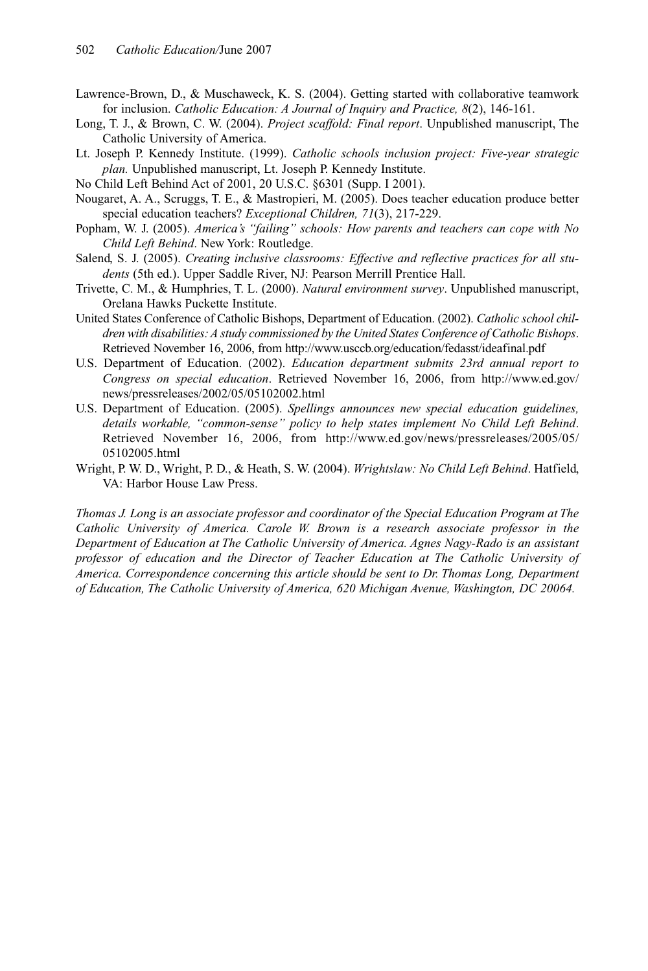- Lawrence-Brown, D., & Muschaweck, K. S. (2004). Getting started with collaborative teamwork for inclusion. *Catholic Education: A Journal of Inquiry and Practice, 8*(2), 146-161.
- Long, T. J., & Brown, C. W. (2004). *Project scaffold: Final report*. Unpublished manuscript, The Catholic University of America.
- Lt. Joseph P. Kennedy Institute. (1999). *Catholic schools inclusion project: Five-year strategic plan.* Unpublished manuscript, Lt. Joseph P. Kennedy Institute.
- No Child Left Behind Act of 2001, 20 U.S.C. §6301 (Supp. I 2001).
- Nougaret, A. A., Scruggs, T. E., & Mastropieri, M. (2005). Does teacher education produce better special education teachers? *Exceptional Children, 71*(3), 217-229.
- Popham, W. J. (2005). *America's "failing" schools: How parents and teachers can cope with No Child Left Behind*. New York: Routledge.
- Salend, S. J. (2005). *Creating inclusive classrooms: Effective and reflective practices for all students* (5th ed.). Upper Saddle River, NJ: Pearson Merrill Prentice Hall.
- Trivette, C. M., & Humphries, T. L. (2000). *Natural environment survey*. Unpublished manuscript, Orelana Hawks Puckette Institute.
- United States Conference of Catholic Bishops, Department of Education. (2002). *Catholic school children with disabilities: A study commissioned by the United States Conference of Catholic Bishops*. Retrieved November 16, 2006, from http://www.usccb.org/education/fedasst/ideafinal.pdf
- U.S. Department of Education. (2002). *Education department submits 23rd annual report to Congress on special education*. Retrieved November 16, 2006, from http://www.ed.gov/ news/pressreleases/2002/05/05102002.html
- U.S. Department of Education. (2005). *Spellings announces new special education guidelines, details workable, "common-sense" policy to help states implement No Child Left Behind*. Retrieved November 16, 2006, from http://www.ed.gov/news/pressreleases/2005/05/ 05102005.html
- Wright, P. W. D., Wright, P. D., & Heath, S. W. (2004). *Wrightslaw: No Child Left Behind*. Hatfield, VA: Harbor House Law Press.

*Thomas J. Long is an associate professor and coordinator of the Special Education Program at The Catholic University of America. Carole W. Brown is a research associate professor in the Department of Education at The Catholic University of America. Agnes Nagy-Rado is an assistant professor of education and the Director of Teacher Education at The Catholic University of America. Correspondence concerning this article should be sent to Dr. Thomas Long, Department of Education, The Catholic University of America, 620 Michigan Avenue, Washington, DC 20064.*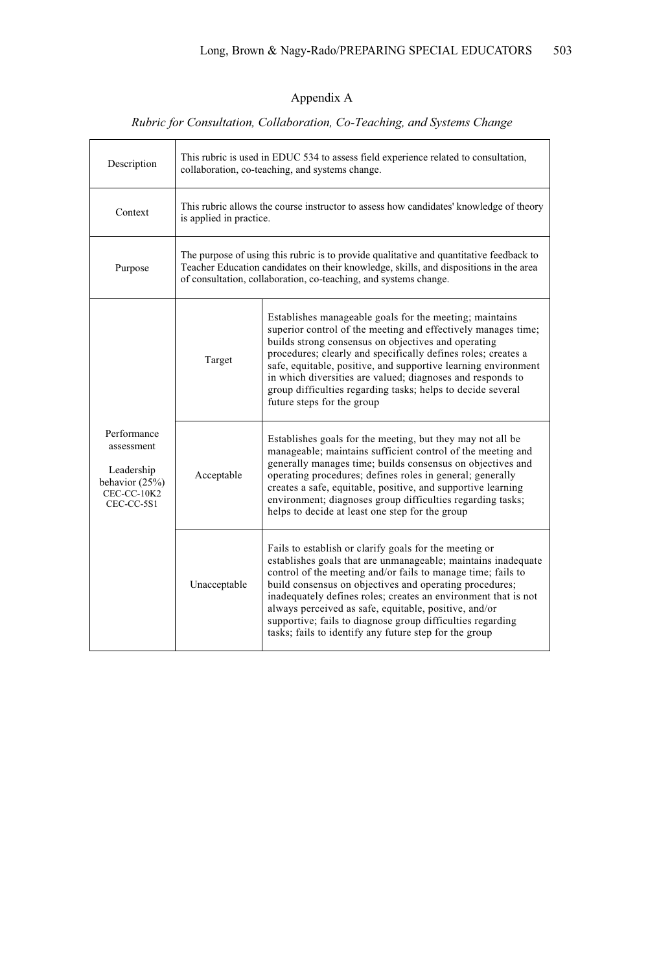#### Appendix A

#### *Rubric for Consultation, Collaboration, Co-Teaching, and Systems Change*

| Description                                                                                | This rubric is used in EDUC 534 to assess field experience related to consultation,<br>collaboration, co-teaching, and systems change.                                                                                                               |                                                                                                                                                                                                                                                                                                                                                                                                                                                                                                       |  |
|--------------------------------------------------------------------------------------------|------------------------------------------------------------------------------------------------------------------------------------------------------------------------------------------------------------------------------------------------------|-------------------------------------------------------------------------------------------------------------------------------------------------------------------------------------------------------------------------------------------------------------------------------------------------------------------------------------------------------------------------------------------------------------------------------------------------------------------------------------------------------|--|
| Context                                                                                    | This rubric allows the course instructor to assess how candidates' knowledge of theory<br>is applied in practice.                                                                                                                                    |                                                                                                                                                                                                                                                                                                                                                                                                                                                                                                       |  |
| Purpose                                                                                    | The purpose of using this rubric is to provide qualitative and quantitative feedback to<br>Teacher Education candidates on their knowledge, skills, and dispositions in the area<br>of consultation, collaboration, co-teaching, and systems change. |                                                                                                                                                                                                                                                                                                                                                                                                                                                                                                       |  |
| Performance<br>assessment<br>Leadership<br>behavior $(25%)$<br>$CEC-CC-10K2$<br>CEC-CC-5S1 | Target                                                                                                                                                                                                                                               | Establishes manageable goals for the meeting; maintains<br>superior control of the meeting and effectively manages time;<br>builds strong consensus on objectives and operating<br>procedures; clearly and specifically defines roles; creates a<br>safe, equitable, positive, and supportive learning environment<br>in which diversities are valued; diagnoses and responds to<br>group difficulties regarding tasks; helps to decide several<br>future steps for the group                         |  |
|                                                                                            | Acceptable                                                                                                                                                                                                                                           | Establishes goals for the meeting, but they may not all be<br>manageable; maintains sufficient control of the meeting and<br>generally manages time; builds consensus on objectives and<br>operating procedures; defines roles in general; generally<br>creates a safe, equitable, positive, and supportive learning<br>environment; diagnoses group difficulties regarding tasks;<br>helps to decide at least one step for the group                                                                 |  |
|                                                                                            | Unacceptable                                                                                                                                                                                                                                         | Fails to establish or clarify goals for the meeting or<br>establishes goals that are unmanageable; maintains inadequate<br>control of the meeting and/or fails to manage time; fails to<br>build consensus on objectives and operating procedures;<br>inadequately defines roles; creates an environment that is not<br>always perceived as safe, equitable, positive, and/or<br>supportive; fails to diagnose group difficulties regarding<br>tasks; fails to identify any future step for the group |  |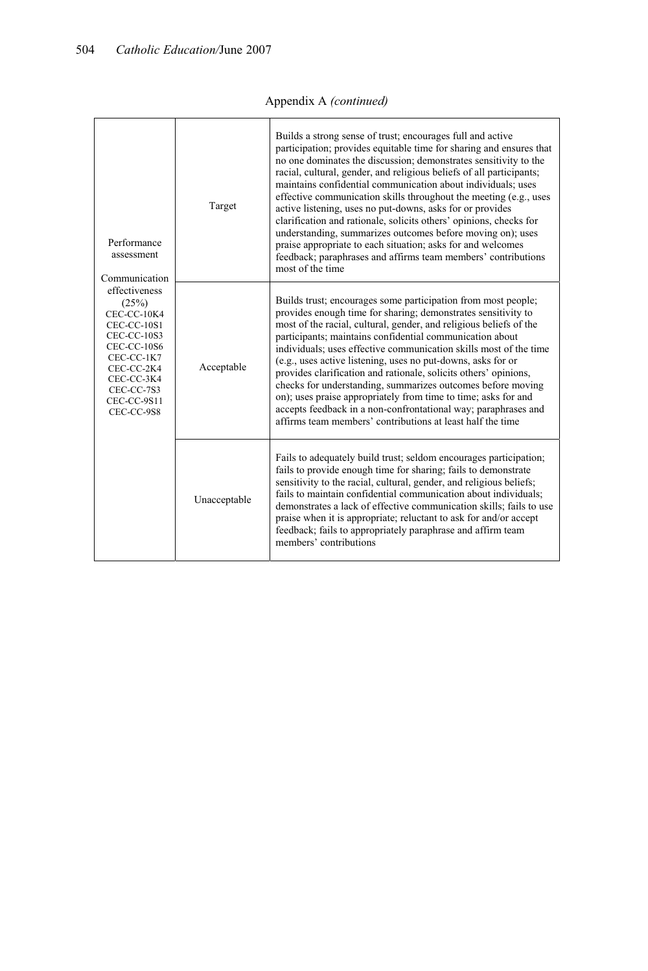| Performance<br>assessment<br>Communication<br>effectiveness<br>(25%)<br>CEC-CC-10K4<br>CEC-CC-10S1<br>CEC-CC-10S3<br>CEC-CC-10S6<br>CEC-CC-1K7<br>CEC-CC-2K4<br>CEC-CC-3K4<br>CEC-CC-7S3<br>CEC-CC-9S11<br>CEC-CC-9S8 | Target       | Builds a strong sense of trust; encourages full and active<br>participation; provides equitable time for sharing and ensures that<br>no one dominates the discussion; demonstrates sensitivity to the<br>racial, cultural, gender, and religious beliefs of all participants;<br>maintains confidential communication about individuals; uses<br>effective communication skills throughout the meeting (e.g., uses<br>active listening, uses no put-downs, asks for or provides<br>clarification and rationale, solicits others' opinions, checks for<br>understanding, summarizes outcomes before moving on); uses<br>praise appropriate to each situation; asks for and welcomes<br>feedback; paraphrases and affirms team members' contributions<br>most of the time |
|-----------------------------------------------------------------------------------------------------------------------------------------------------------------------------------------------------------------------|--------------|-------------------------------------------------------------------------------------------------------------------------------------------------------------------------------------------------------------------------------------------------------------------------------------------------------------------------------------------------------------------------------------------------------------------------------------------------------------------------------------------------------------------------------------------------------------------------------------------------------------------------------------------------------------------------------------------------------------------------------------------------------------------------|
|                                                                                                                                                                                                                       | Acceptable   | Builds trust; encourages some participation from most people;<br>provides enough time for sharing; demonstrates sensitivity to<br>most of the racial, cultural, gender, and religious beliefs of the<br>participants; maintains confidential communication about<br>individuals; uses effective communication skills most of the time<br>(e.g., uses active listening, uses no put-downs, asks for or<br>provides clarification and rationale, solicits others' opinions,<br>checks for understanding, summarizes outcomes before moving<br>on); uses praise appropriately from time to time; asks for and<br>accepts feedback in a non-confrontational way; paraphrases and<br>affirms team members' contributions at least half the time                              |
|                                                                                                                                                                                                                       | Unacceptable | Fails to adequately build trust; seldom encourages participation;<br>fails to provide enough time for sharing; fails to demonstrate<br>sensitivity to the racial, cultural, gender, and religious beliefs;<br>fails to maintain confidential communication about individuals;<br>demonstrates a lack of effective communication skills; fails to use<br>praise when it is appropriate; reluctant to ask for and/or accept<br>feedback; fails to appropriately paraphrase and affirm team<br>members' contributions                                                                                                                                                                                                                                                      |

#### Appendix A *(continued)*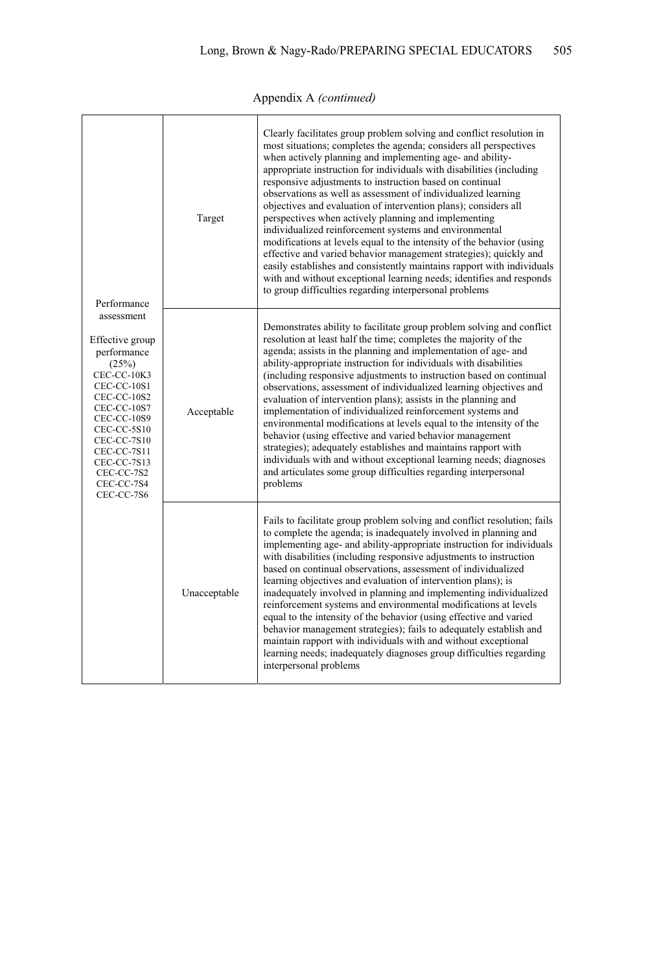Appendix A *(continued)*

| Performance<br>assessment<br>Effective group<br>performance<br>(25%)<br>CEC-CC-10K3<br>CEC-CC-10S1<br>CEC-CC-10S2<br>CEC-CC-10S7<br>CEC-CC-10S9<br>CEC-CC-5S10<br>CEC-CC-7S10<br>CEC-CC-7S11<br>CEC-CC-7S13<br>CEC-CC-7S2<br>CEC-CC-7S4<br>CEC-CC-7S6 | Target       | Clearly facilitates group problem solving and conflict resolution in<br>most situations; completes the agenda; considers all perspectives<br>when actively planning and implementing age- and ability-<br>appropriate instruction for individuals with disabilities (including<br>responsive adjustments to instruction based on continual<br>observations as well as assessment of individualized learning<br>objectives and evaluation of intervention plans); considers all<br>perspectives when actively planning and implementing<br>individualized reinforcement systems and environmental<br>modifications at levels equal to the intensity of the behavior (using<br>effective and varied behavior management strategies); quickly and<br>easily establishes and consistently maintains rapport with individuals<br>with and without exceptional learning needs; identifies and responds<br>to group difficulties regarding interpersonal problems |
|-------------------------------------------------------------------------------------------------------------------------------------------------------------------------------------------------------------------------------------------------------|--------------|------------------------------------------------------------------------------------------------------------------------------------------------------------------------------------------------------------------------------------------------------------------------------------------------------------------------------------------------------------------------------------------------------------------------------------------------------------------------------------------------------------------------------------------------------------------------------------------------------------------------------------------------------------------------------------------------------------------------------------------------------------------------------------------------------------------------------------------------------------------------------------------------------------------------------------------------------------|
|                                                                                                                                                                                                                                                       | Acceptable   | Demonstrates ability to facilitate group problem solving and conflict<br>resolution at least half the time; completes the majority of the<br>agenda; assists in the planning and implementation of age- and<br>ability-appropriate instruction for individuals with disabilities<br>(including responsive adjustments to instruction based on continual<br>observations, assessment of individualized learning objectives and<br>evaluation of intervention plans); assists in the planning and<br>implementation of individualized reinforcement systems and<br>environmental modifications at levels equal to the intensity of the<br>behavior (using effective and varied behavior management<br>strategies); adequately establishes and maintains rapport with<br>individuals with and without exceptional learning needs; diagnoses<br>and articulates some group difficulties regarding interpersonal<br>problems                                    |
|                                                                                                                                                                                                                                                       | Unacceptable | Fails to facilitate group problem solving and conflict resolution; fails<br>to complete the agenda; is inadequately involved in planning and<br>implementing age- and ability-appropriate instruction for individuals<br>with disabilities (including responsive adjustments to instruction<br>based on continual observations, assessment of individualized<br>learning objectives and evaluation of intervention plans); is<br>inadequately involved in planning and implementing individualized<br>reinforcement systems and environmental modifications at levels<br>equal to the intensity of the behavior (using effective and varied<br>behavior management strategies); fails to adequately establish and<br>maintain rapport with individuals with and without exceptional<br>learning needs; inadequately diagnoses group difficulties regarding<br>interpersonal problems                                                                       |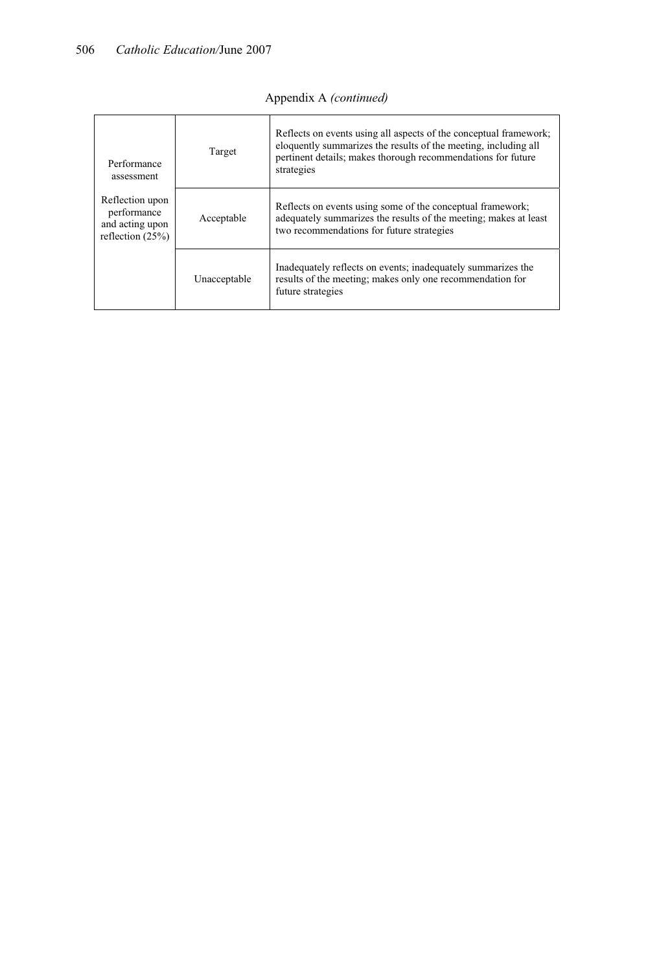| Performance<br>assessment                                               | Target       | Reflects on events using all aspects of the conceptual framework;<br>eloquently summarizes the results of the meeting, including all<br>pertinent details; makes thorough recommendations for future<br>strategies |
|-------------------------------------------------------------------------|--------------|--------------------------------------------------------------------------------------------------------------------------------------------------------------------------------------------------------------------|
| Reflection upon<br>performance<br>and acting upon<br>reflection $(25%)$ | Acceptable   | Reflects on events using some of the conceptual framework;<br>adequately summarizes the results of the meeting; makes at least<br>two recommendations for future strategies                                        |
|                                                                         | Unacceptable | Inadequately reflects on events; inadequately summarizes the<br>results of the meeting; makes only one recommendation for<br>future strategies                                                                     |

Appendix A *(continued)*